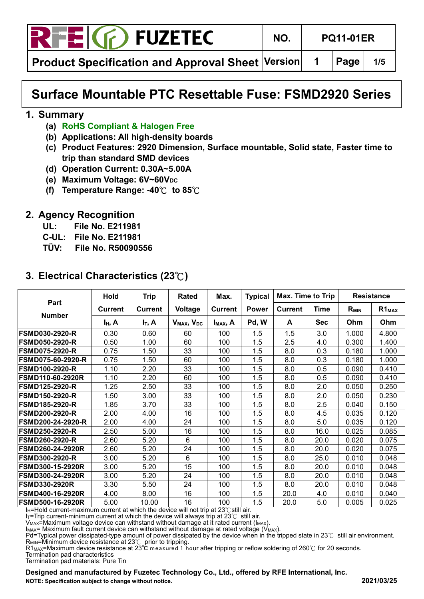

**Product Specification and Approval Sheet Version | 1 | Page | 1/5** 

# **Surface Mountable PTC Resettable Fuse: FSMD2920 Series**

#### **1. Summary**

- **(a) RoHS Compliant & Halogen Free**
- **(b) Applications: All high-density boards**
- **(c) Product Features: 2920 Dimension, Surface mountable, Solid state, Faster time to trip than standard SMD devices**
- **(d) Operation Current: 0.30A~5.00A**
- **(e)** Maximum Voltage: 6V~60V<sub>DC</sub>
- **(f) Temperature Range: -40**℃ **to 85**℃

### **2. Agency Recognition**

- **UL: File No. E211981**
- **C-UL: File No. E211981**
- **TÜV: File No. R50090556**

|  |  | 3. Electrical Characteristics $(23^{\circ}\text{C})$ |  |
|--|--|------------------------------------------------------|--|
|--|--|------------------------------------------------------|--|

|                          | <b>Hold</b>    | <b>Trip</b>    | <b>Rated</b>                       | Max.           | <b>Typical</b> | Max. Time to Trip |             | <b>Resistance</b> |            |
|--------------------------|----------------|----------------|------------------------------------|----------------|----------------|-------------------|-------------|-------------------|------------|
| Part                     | <b>Current</b> | <b>Current</b> | Voltage                            | <b>Current</b> | <b>Power</b>   | <b>Current</b>    | <b>Time</b> | $R_{MIN}$         | $R1_{MAX}$ |
| <b>Number</b>            | $I_H$ , A      | $I_T$ , A      | V <sub>MAX</sub> , V <sub>DC</sub> | $I_{MAX}$ , A  | Pd, W          | A                 | <b>Sec</b>  | Ohm               | Ohm        |
| <b>FSMD030-2920-R</b>    | 0.30           | 0.60           | 60                                 | 100            | 1.5            | 1.5               | 3.0         | 1.000             | 4.800      |
| <b>FSMD050-2920-R</b>    | 0.50           | 1.00           | 60                                 | 100            | 1.5            | 2.5               | 4.0         | 0.300             | 1.400      |
| <b>FSMD075-2920-R</b>    | 0.75           | 1.50           | 33                                 | 100            | 1.5            | 8.0               | 0.3         | 0.180             | 1.000      |
| FSMD075-60-2920-R        | 0.75           | 1.50           | 60                                 | 100            | 1.5            | 8.0               | 0.3         | 0.180             | 1.000      |
| <b>FSMD100-2920-R</b>    | 1.10           | 2.20           | 33                                 | 100            | 1.5            | 8.0               | 0.5         | 0.090             | 0.410      |
| <b>FSMD110-60-2920R</b>  | 1.10           | 2.20           | 60                                 | 100            | 1.5            | 8.0               | 0.5         | 0.090             | 0.410      |
| <b>FSMD125-2920-R</b>    | 1.25           | 2.50           | 33                                 | 100            | 1.5            | 8.0               | 2.0         | 0.050             | 0.250      |
| <b>FSMD150-2920-R</b>    | 1.50           | 3.00           | 33                                 | 100            | 1.5            | 8.0               | 2.0         | 0.050             | 0.230      |
| <b>FSMD185-2920-R</b>    | 1.85           | 3.70           | 33                                 | 100            | 1.5            | 8.0               | 2.5         | 0.040             | 0.150      |
| <b>FSMD200-2920-R</b>    | 2.00           | 4.00           | 16                                 | 100            | 1.5            | 8.0               | 4.5         | 0.035             | 0.120      |
| <b>FSMD200-24-2920-R</b> | 2.00           | 4.00           | 24                                 | 100            | 1.5            | 8.0               | 5.0         | 0.035             | 0.120      |
| <b>FSMD250-2920-R</b>    | 2.50           | 5.00           | 16                                 | 100            | 1.5            | 8.0               | 16.0        | 0.025             | 0.085      |
| <b>FSMD260-2920-R</b>    | 2.60           | 5.20           | 6                                  | 100            | 1.5            | 8.0               | 20.0        | 0.020             | 0.075      |
| <b>FSMD260-24-2920R</b>  | 2.60           | 5.20           | 24                                 | 100            | 1.5            | 8.0               | 20.0        | 0.020             | 0.075      |
| <b>FSMD300-2920-R</b>    | 3.00           | 5.20           | 6                                  | 100            | 1.5            | 8.0               | 25.0        | 0.010             | 0.048      |
| <b>FSMD300-15-2920R</b>  | 3.00           | 5.20           | 15                                 | 100            | 1.5            | 8.0               | 20.0        | 0.010             | 0.048      |
| FSMD300-24-2920R         | 3.00           | 5.20           | 24                                 | 100            | 1.5            | 8.0               | 20.0        | 0.010             | 0.048      |
| <b>FSMD330-2920R</b>     | 3.30           | 5.50           | 24                                 | 100            | 1.5            | 8.0               | 20.0        | 0.010             | 0.048      |
| <b>FSMD400-16-2920R</b>  | 4.00           | 8.00           | 16                                 | 100            | 1.5            | 20.0              | 4.0         | 0.010             | 0.040      |
| <b>FSMD500-16-2920R</b>  | 5.00           | 10.00          | 16                                 | 100            | 1.5            | 20.0              | 5.0         | 0.005             | 0.025      |

I<sub>H</sub>=Hold current-maximum current at which the device will not trip at 23℃still air.

IT=Trip current-minimum current at which the device will always trip at 23℃ still air.

V<sub>MAX</sub>=Maximum voltage device can withstand without damage at it rated current (I<sub>MAX</sub>).

 $I_{MAX}$ = Maximum fault current device can withstand without damage at rated voltage ( $V_{MAX}$ ).

Pd=Typical power dissipated-type amount of power dissipated by the device when in the tripped state in 23℃ still air environment.  $R_{MIN}$ =Minimum device resistance at 23 $\degree$  prior to tripping.

R1MAX=Maximum device resistance at 23℃ measured 1 hour after tripping or reflow soldering of 260℃ for 20 seconds.

Termination pad characteristics Termination pad materials: Pure Tin

**Designed and manufactured by Fuzetec Technology Co., Ltd., offered by RFE International, Inc. NOTE: Specification subject to change without notice. 2021/03/25**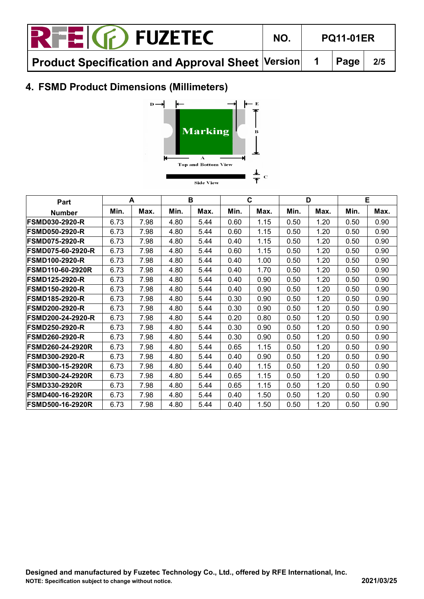| <b>RFEIG</b> FUZETEC                                                  | NO. | <b>PQ11-01ER</b> |        |     |  |
|-----------------------------------------------------------------------|-----|------------------|--------|-----|--|
| $\mid$ Product Specification and Approval Sheet $\mid$ Version $\mid$ |     |                  | 1 Page | 2/5 |  |

# **4. FSMD Product Dimensions (Millimeters)**



| Part                     |      | A    |      | B    |      | C    |      | D    |      | Е    |
|--------------------------|------|------|------|------|------|------|------|------|------|------|
| <b>Number</b>            | Min. | Max. | Min. | Max. | Min. | Max. | Min. | Max. | Min. | Max. |
| <b>FSMD030-2920-R</b>    | 6.73 | 7.98 | 4.80 | 5.44 | 0.60 | 1.15 | 0.50 | 1.20 | 0.50 | 0.90 |
| <b>FSMD050-2920-R</b>    | 6.73 | 7.98 | 4.80 | 5.44 | 0.60 | 1.15 | 0.50 | 1.20 | 0.50 | 0.90 |
| <b>FSMD075-2920-R</b>    | 6.73 | 7.98 | 4.80 | 5.44 | 0.40 | 1.15 | 0.50 | 1.20 | 0.50 | 0.90 |
| <b>FSMD075-60-2920-R</b> | 6.73 | 7.98 | 4.80 | 5.44 | 0.60 | 1.15 | 0.50 | 1.20 | 0.50 | 0.90 |
| <b>FSMD100-2920-R</b>    | 6.73 | 7.98 | 4.80 | 5.44 | 0.40 | 1.00 | 0.50 | 1.20 | 0.50 | 0.90 |
| <b>FSMD110-60-2920R</b>  | 6.73 | 7.98 | 4.80 | 5.44 | 0.40 | 1.70 | 0.50 | 1.20 | 0.50 | 0.90 |
| <b>FSMD125-2920-R</b>    | 6.73 | 7.98 | 4.80 | 5.44 | 0.40 | 0.90 | 0.50 | 1.20 | 0.50 | 0.90 |
| <b>FSMD150-2920-R</b>    | 6.73 | 7.98 | 4.80 | 5.44 | 0.40 | 0.90 | 0.50 | 1.20 | 0.50 | 0.90 |
| <b>FSMD185-2920-R</b>    | 6.73 | 7.98 | 4.80 | 5.44 | 0.30 | 0.90 | 0.50 | 1.20 | 0.50 | 0.90 |
| <b>FSMD200-2920-R</b>    | 6.73 | 7.98 | 4.80 | 5.44 | 0.30 | 0.90 | 0.50 | 1.20 | 0.50 | 0.90 |
| <b>FSMD200-24-2920-R</b> | 6.73 | 7.98 | 4.80 | 5.44 | 0.20 | 0.80 | 0.50 | 1.20 | 0.50 | 0.90 |
| <b>FSMD250-2920-R</b>    | 6.73 | 7.98 | 4.80 | 5.44 | 0.30 | 0.90 | 0.50 | 1.20 | 0.50 | 0.90 |
| <b>FSMD260-2920-R</b>    | 6.73 | 7.98 | 4.80 | 5.44 | 0.30 | 0.90 | 0.50 | 1.20 | 0.50 | 0.90 |
| <b>FSMD260-24-2920R</b>  | 6.73 | 7.98 | 4.80 | 5.44 | 0.65 | 1.15 | 0.50 | 1.20 | 0.50 | 0.90 |
| <b>FSMD300-2920-R</b>    | 6.73 | 7.98 | 4.80 | 5.44 | 0.40 | 0.90 | 0.50 | 1.20 | 0.50 | 0.90 |
| <b>FSMD300-15-2920R</b>  | 6.73 | 7.98 | 4.80 | 5.44 | 0.40 | 1.15 | 0.50 | 1.20 | 0.50 | 0.90 |
| <b>FSMD300-24-2920R</b>  | 6.73 | 7.98 | 4.80 | 5.44 | 0.65 | 1.15 | 0.50 | 1.20 | 0.50 | 0.90 |
| <b>FSMD330-2920R</b>     | 6.73 | 7.98 | 4.80 | 5.44 | 0.65 | 1.15 | 0.50 | 1.20 | 0.50 | 0.90 |
| <b>FSMD400-16-2920R</b>  | 6.73 | 7.98 | 4.80 | 5.44 | 0.40 | 1.50 | 0.50 | 1.20 | 0.50 | 0.90 |
| <b>FSMD500-16-2920R</b>  | 6.73 | 7.98 | 4.80 | 5.44 | 0.40 | 1.50 | 0.50 | 1.20 | 0.50 | 0.90 |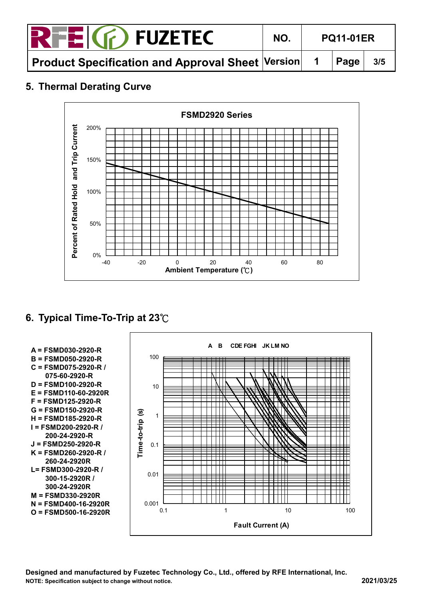| <b>RFEIG</b> FUZETEC                                                                                          | NO. | <b>PQ11-01ER</b> |  |  |
|---------------------------------------------------------------------------------------------------------------|-----|------------------|--|--|
| $\mid$ Product Specification and Approval Sheet $\mid$ Version $\mid\mid$ 1 $\mid$ Page $\mid\mid$ 3/5 $\mid$ |     |                  |  |  |

## **5. Thermal Derating Curve**



# **6. Typical Time-To-Trip at 23**℃



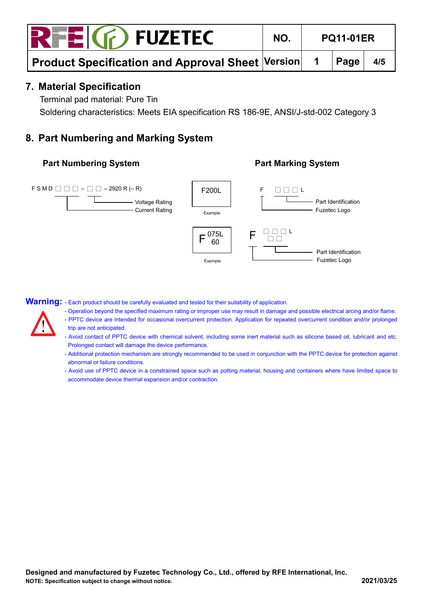## **7. Material Specification**

Terminal pad material: Pure Tin

Soldering characteristics: Meets EIA specification RS 186-9E, ANSI/J-std-002 Category 3

# **8. Part Numbering and Marking System**

#### **Part Numbering System Part Marking System**





Warning: - Each product should be carefully evaluated and tested for their suitability of application.

- Operation beyond the specified maximum rating or improper use may result in damage and possible electrical arcing and/or flame.
- PPTC device are intended for occasional overcurrent protection. Application for repeated overcurrent condition and/or prolonged trip are not anticipated.
- Avoid contact of PPTC device with chemical solvent, including some inert material such as silicone based oil, lubricant and etc. Prolonged contact will damage the device performance.
- Additional protection mechanism are strongly recommended to be used in conjunction with the PPTC device for protection against abnormal or failure conditions.
- Avoid use of PPTC device in a constrained space such as potting material, housing and containers where have limited space to accommodate device thermal expansion and/or contraction.